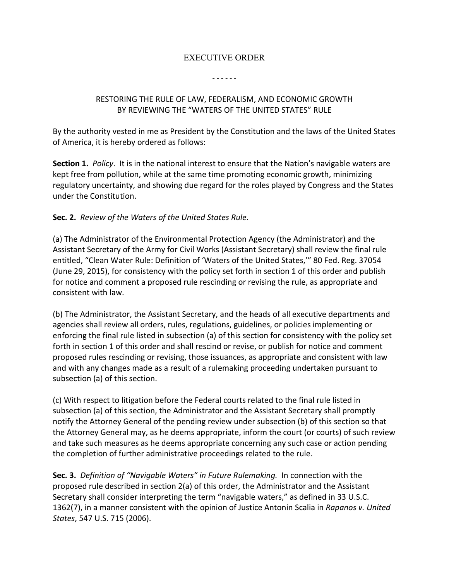# EXECUTIVE ORDER

#### - - - - - -

# RESTORING THE RULE OF LAW, FEDERALISM, AND ECONOMIC GROWTH BY REVIEWING THE "WATERS OF THE UNITED STATES" RULE

By the authority vested in me as President by the Constitution and the laws of the United States of America, it is hereby ordered as follows:

**Section 1.** *Policy*. It is in the national interest to ensure that the Nation's navigable waters are kept free from pollution, while at the same time promoting economic growth, minimizing regulatory uncertainty, and showing due regard for the roles played by Congress and the States under the Constitution.

# **Sec. 2.** *Review of the Waters of the United States Rule.*

(a) The Administrator of the Environmental Protection Agency (the Administrator) and the Assistant Secretary of the Army for Civil Works (Assistant Secretary) shall review the final rule entitled, "Clean Water Rule: Definition of 'Waters of the United States,'" 80 Fed. Reg. 37054 (June 29, 2015), for consistency with the policy set forth in section 1 of this order and publish for notice and comment a proposed rule rescinding or revising the rule, as appropriate and consistent with law.

(b) The Administrator, the Assistant Secretary, and the heads of all executive departments and agencies shall review all orders, rules, regulations, guidelines, or policies implementing or enforcing the final rule listed in subsection (a) of this section for consistency with the policy set forth in section 1 of this order and shall rescind or revise, or publish for notice and comment proposed rules rescinding or revising, those issuances, as appropriate and consistent with law and with any changes made as a result of a rulemaking proceeding undertaken pursuant to subsection (a) of this section.

(c) With respect to litigation before the Federal courts related to the final rule listed in subsection (a) of this section, the Administrator and the Assistant Secretary shall promptly notify the Attorney General of the pending review under subsection (b) of this section so that the Attorney General may, as he deems appropriate, inform the court (or courts) of such review and take such measures as he deems appropriate concerning any such case or action pending the completion of further administrative proceedings related to the rule.

**Sec. 3.** *Definition of "Navigable Waters" in Future Rulemaking.* In connection with the proposed rule described in section 2(a) of this order, the Administrator and the Assistant Secretary shall consider interpreting the term "navigable waters," as defined in 33 U.S.C. 1362(7), in a manner consistent with the opinion of Justice Antonin Scalia in *Rapanos v. United States*, 547 U.S. 715 (2006).